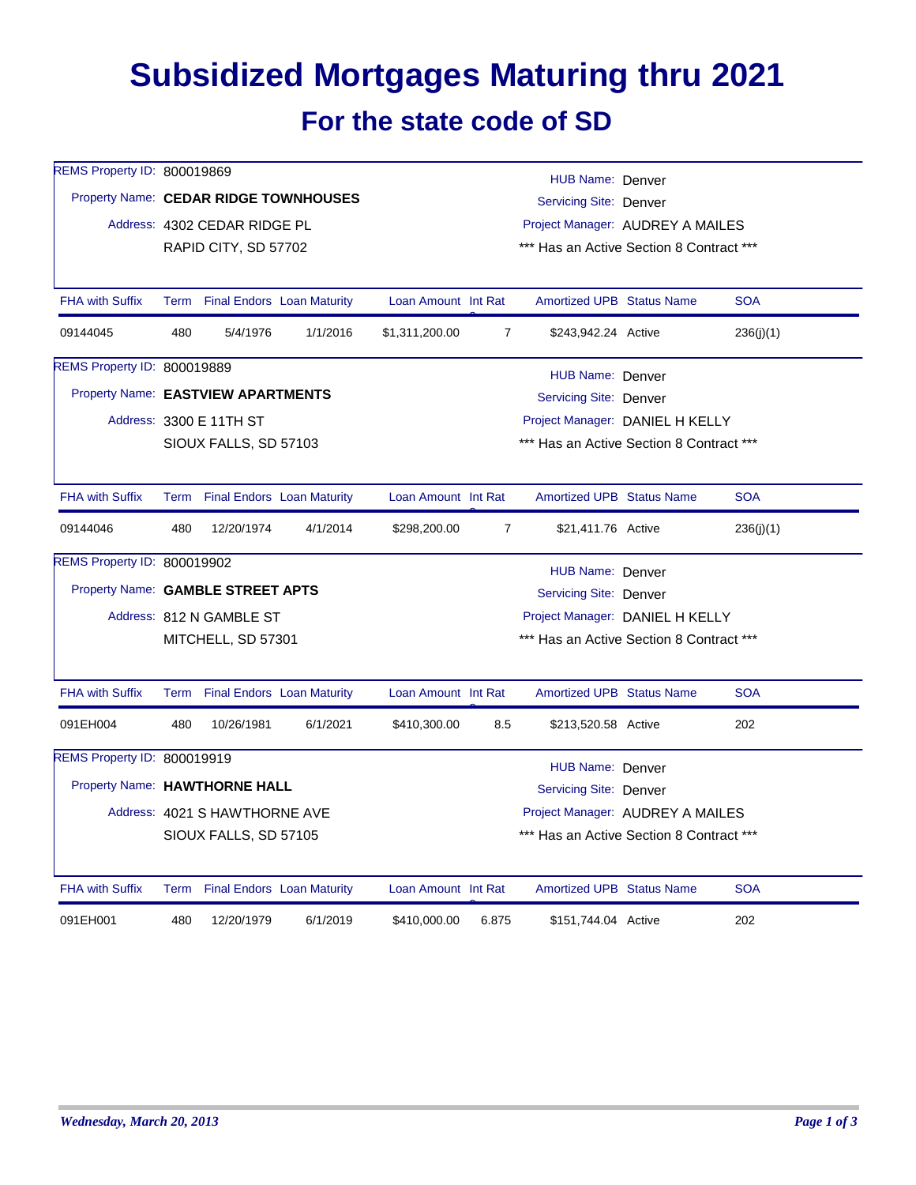## **Subsidized Mortgages Maturing thru 2021 For the state code of SD**

| REMS Property ID: 800019869           |                                                                  |                                 |          |                                                                   |                                          | HUB Name: Denver                 |  |            |  |  |
|---------------------------------------|------------------------------------------------------------------|---------------------------------|----------|-------------------------------------------------------------------|------------------------------------------|----------------------------------|--|------------|--|--|
| Property Name: CEDAR RIDGE TOWNHOUSES |                                                                  |                                 |          | <b>Servicing Site: Denver</b><br>Project Manager: AUDREY A MAILES |                                          |                                  |  |            |  |  |
|                                       |                                                                  | Address: 4302 CEDAR RIDGE PL    |          |                                                                   |                                          |                                  |  |            |  |  |
|                                       | *** Has an Active Section 8 Contract ***<br>RAPID CITY, SD 57702 |                                 |          |                                                                   |                                          |                                  |  |            |  |  |
|                                       |                                                                  |                                 |          |                                                                   |                                          |                                  |  |            |  |  |
| <b>FHA with Suffix</b>                |                                                                  | Term Final Endors Loan Maturity |          | Loan Amount Int Rat                                               |                                          | <b>Amortized UPB Status Name</b> |  | <b>SOA</b> |  |  |
| 09144045                              | 480                                                              | 5/4/1976                        | 1/1/2016 | \$1,311,200.00                                                    | $\overline{7}$                           | \$243,942.24 Active              |  | 236(j)(1)  |  |  |
| REMS Property ID: 800019889           |                                                                  |                                 |          |                                                                   |                                          | HUB Name: Denver                 |  |            |  |  |
| Property Name: EASTVIEW APARTMENTS    |                                                                  |                                 |          |                                                                   |                                          | <b>Servicing Site: Denver</b>    |  |            |  |  |
|                                       |                                                                  | Address: 3300 E 11TH ST         |          |                                                                   |                                          | Project Manager: DANIEL H KELLY  |  |            |  |  |
|                                       |                                                                  | SIOUX FALLS, SD 57103           |          |                                                                   | *** Has an Active Section 8 Contract *** |                                  |  |            |  |  |
|                                       |                                                                  |                                 |          |                                                                   |                                          |                                  |  |            |  |  |
| <b>FHA with Suffix</b>                |                                                                  | Term Final Endors Loan Maturity |          | Loan Amount Int Rat                                               |                                          | <b>Amortized UPB Status Name</b> |  | <b>SOA</b> |  |  |
| 09144046                              | 480                                                              | 12/20/1974                      | 4/1/2014 | \$298,200.00                                                      | $\overline{7}$                           | \$21,411.76 Active               |  | 236(j)(1)  |  |  |
| REMS Property ID: 800019902           | HUB Name: Denver                                                 |                                 |          |                                                                   |                                          |                                  |  |            |  |  |
|                                       | Property Name: GAMBLE STREET APTS<br>Servicing Site: Denver      |                                 |          |                                                                   |                                          |                                  |  |            |  |  |
|                                       |                                                                  | Address: 812 N GAMBLE ST        |          | Project Manager: DANIEL H KELLY                                   |                                          |                                  |  |            |  |  |
|                                       | MITCHELL, SD 57301                                               |                                 |          |                                                                   | *** Has an Active Section 8 Contract *** |                                  |  |            |  |  |
| <b>FHA with Suffix</b>                |                                                                  |                                 |          | Loan Amount Int Rat                                               |                                          | <b>Amortized UPB Status Name</b> |  | <b>SOA</b> |  |  |
|                                       |                                                                  | Term Final Endors Loan Maturity |          |                                                                   |                                          |                                  |  |            |  |  |
| 091EH004                              | 480                                                              | 10/26/1981                      | 6/1/2021 | \$410,300.00                                                      | 8.5                                      | \$213,520.58 Active              |  | 202        |  |  |
| REMS Property ID: 800019919           |                                                                  |                                 |          |                                                                   |                                          | HUB Name: Denver                 |  |            |  |  |
| Property Name: HAWTHORNE HALL         |                                                                  |                                 |          | Servicing Site: Denver                                            |                                          |                                  |  |            |  |  |
|                                       |                                                                  | Address: 4021 S HAWTHORNE AVE   |          | Project Manager: AUDREY A MAILES                                  |                                          |                                  |  |            |  |  |
|                                       |                                                                  | SIOUX FALLS, SD 57105           |          | *** Has an Active Section 8 Contract ***                          |                                          |                                  |  |            |  |  |
| <b>FHA with Suffix</b>                |                                                                  | Term Final Endors Loan Maturity |          | Loan Amount Int Rat                                               |                                          | <b>Amortized UPB Status Name</b> |  | <b>SOA</b> |  |  |
| 091EH001                              | 480                                                              | 12/20/1979                      | 6/1/2019 | \$410,000.00                                                      | 6.875                                    | \$151,744.04 Active              |  | 202        |  |  |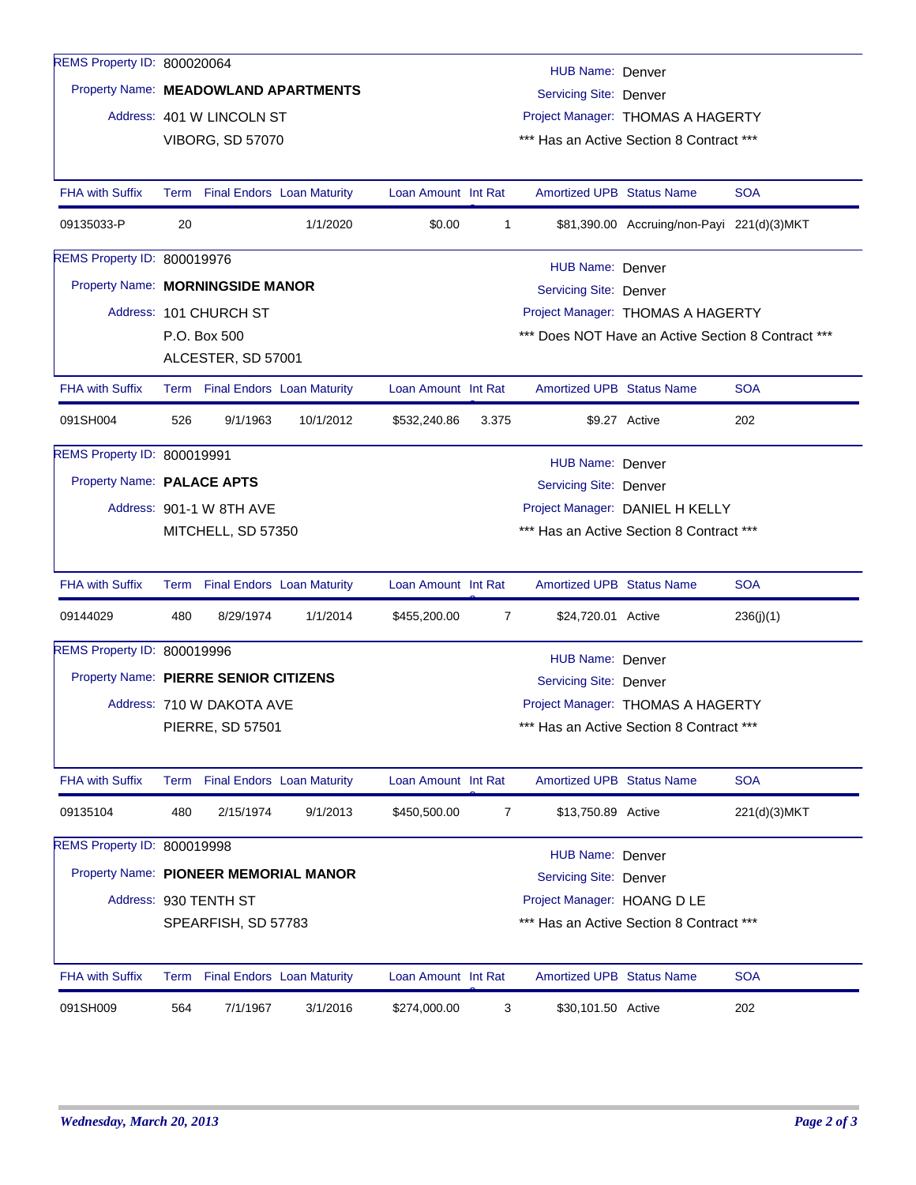| REMS Property ID: 800020064           |                                                                    |                           |                                 |                     |                                                                    |                                          |                                            |              |  |
|---------------------------------------|--------------------------------------------------------------------|---------------------------|---------------------------------|---------------------|--------------------------------------------------------------------|------------------------------------------|--------------------------------------------|--------------|--|
|                                       | <b>HUB Name: Denver</b><br>Property Name: MEADOWLAND APARTMENTS    |                           |                                 |                     |                                                                    |                                          |                                            |              |  |
|                                       |                                                                    | Address: 401 W LINCOLN ST |                                 |                     | <b>Servicing Site: Denver</b><br>Project Manager: THOMAS A HAGERTY |                                          |                                            |              |  |
|                                       |                                                                    | <b>VIBORG, SD 57070</b>   |                                 |                     |                                                                    | *** Has an Active Section 8 Contract *** |                                            |              |  |
|                                       |                                                                    |                           |                                 |                     |                                                                    |                                          |                                            |              |  |
| <b>FHA with Suffix</b>                |                                                                    |                           | Term Final Endors Loan Maturity | Loan Amount Int Rat |                                                                    | <b>Amortized UPB Status Name</b>         |                                            | <b>SOA</b>   |  |
| 09135033-P                            | 20                                                                 |                           | 1/1/2020                        | \$0.00              | $\mathbf 1$                                                        |                                          | \$81,390.00 Accruing/non-Payi 221(d)(3)MKT |              |  |
| REMS Property ID: 800019976           |                                                                    |                           |                                 |                     |                                                                    | HUB Name: Denver                         |                                            |              |  |
| Property Name: MORNINGSIDE MANOR      |                                                                    |                           |                                 |                     |                                                                    | Servicing Site: Denver                   |                                            |              |  |
|                                       |                                                                    | Address: 101 CHURCH ST    |                                 |                     |                                                                    | Project Manager: THOMAS A HAGERTY        |                                            |              |  |
|                                       | P.O. Box 500<br>*** Does NOT Have an Active Section 8 Contract *** |                           |                                 |                     |                                                                    |                                          |                                            |              |  |
|                                       |                                                                    | ALCESTER, SD 57001        |                                 |                     |                                                                    |                                          |                                            |              |  |
| <b>FHA with Suffix</b>                |                                                                    |                           | Term Final Endors Loan Maturity | Loan Amount Int Rat |                                                                    | <b>Amortized UPB Status Name</b>         |                                            | <b>SOA</b>   |  |
| 091SH004                              | 526                                                                | 9/1/1963                  | 10/1/2012                       | \$532,240.86        | 3.375                                                              |                                          | \$9.27 Active                              | 202          |  |
| REMS Property ID: 800019991           |                                                                    |                           |                                 |                     |                                                                    | HUB Name: Denver                         |                                            |              |  |
| Property Name: PALACE APTS            |                                                                    |                           |                                 |                     |                                                                    | <b>Servicing Site: Denver</b>            |                                            |              |  |
|                                       |                                                                    | Address: 901-1 W 8TH AVE  |                                 |                     |                                                                    |                                          | Project Manager: DANIEL H KELLY            |              |  |
|                                       |                                                                    | MITCHELL, SD 57350        |                                 |                     | *** Has an Active Section 8 Contract ***                           |                                          |                                            |              |  |
|                                       |                                                                    |                           |                                 |                     |                                                                    |                                          |                                            |              |  |
| <b>FHA with Suffix</b>                |                                                                    |                           | Term Final Endors Loan Maturity | Loan Amount Int Rat |                                                                    | <b>Amortized UPB Status Name</b>         |                                            | <b>SOA</b>   |  |
| 09144029                              | 480                                                                | 8/29/1974                 | 1/1/2014                        | \$455,200.00        | $\overline{7}$                                                     | \$24,720.01 Active                       |                                            | 236(j)(1)    |  |
| REMS Property ID: 800019996           |                                                                    |                           |                                 |                     |                                                                    | <b>HUB Name: Denver</b>                  |                                            |              |  |
| Property Name: PIERRE SENIOR CITIZENS |                                                                    |                           |                                 |                     |                                                                    | <b>Servicing Site: Denver</b>            |                                            |              |  |
|                                       | Address: 710 W DAKOTA AVE                                          |                           |                                 |                     |                                                                    | Project Manager: THOMAS A HAGERTY        |                                            |              |  |
|                                       |                                                                    | <b>PIERRE, SD 57501</b>   |                                 |                     |                                                                    |                                          | *** Has an Active Section 8 Contract ***   |              |  |
|                                       |                                                                    |                           |                                 |                     |                                                                    |                                          |                                            |              |  |
| <b>FHA with Suffix</b>                |                                                                    |                           | Term Final Endors Loan Maturity | Loan Amount Int Rat |                                                                    | <b>Amortized UPB Status Name</b>         |                                            | <b>SOA</b>   |  |
| 09135104                              | 480                                                                | 2/15/1974                 | 9/1/2013                        | \$450,500.00        | $\overline{7}$                                                     | \$13,750.89 Active                       |                                            | 221(d)(3)MKT |  |
| REMS Property ID: 800019998           |                                                                    |                           |                                 |                     |                                                                    | HUB Name: Denver                         |                                            |              |  |
|                                       | Property Name: PIONEER MEMORIAL MANOR<br>Servicing Site: Denver    |                           |                                 |                     |                                                                    |                                          |                                            |              |  |
|                                       |                                                                    | Address: 930 TENTH ST     |                                 |                     |                                                                    | Project Manager: HOANG D LE              |                                            |              |  |
|                                       |                                                                    | SPEARFISH, SD 57783       |                                 |                     |                                                                    | *** Has an Active Section 8 Contract *** |                                            |              |  |
| <b>FHA with Suffix</b>                |                                                                    |                           | Term Final Endors Loan Maturity | Loan Amount Int Rat |                                                                    | Amortized UPB Status Name                |                                            | <b>SOA</b>   |  |
| 091SH009                              | 564                                                                | 7/1/1967                  | 3/1/2016                        | \$274,000.00        | 3                                                                  | \$30,101.50 Active                       |                                            | 202          |  |